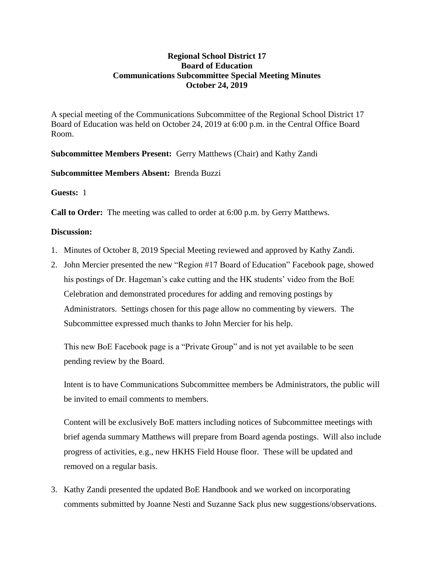## **Regional School District 17 Board of Education Communications Subcommittee Special Meeting Minutes October 24, 2019**

A special meeting of the Communications Subcommittee of the Regional School District 17 Board of Education was held on October 24, 2019 at 6:00 p.m. in the Central Office Board Room.

**Subcommittee Members Present:** Gerry Matthews (Chair) and Kathy Zandi

**Subcommittee Members Absent:** Brenda Buzzi

**Guests:** 1

**Call to Order:** The meeting was called to order at 6:00 p.m. by Gerry Matthews.

## **Discussion:**

- 1. Minutes of October 8, 2019 Special Meeting reviewed and approved by Kathy Zandi.
- 2. John Mercier presented the new "Region #17 Board of Education" Facebook page, showed his postings of Dr. Hageman's cake cutting and the HK students' video from the BoE Celebration and demonstrated procedures for adding and removing postings by Administrators. Settings chosen for this page allow no commenting by viewers. The Subcommittee expressed much thanks to John Mercier for his help.

This new BoE Facebook page is a "Private Group" and is not yet available to be seen pending review by the Board.

Intent is to have Communications Subcommittee members be Administrators, the public will be invited to email comments to members.

Content will be exclusively BoE matters including notices of Subcommittee meetings with brief agenda summary Matthews will prepare from Board agenda postings. Will also include progress of activities, e.g., new HKHS Field House floor. These will be updated and removed on a regular basis.

3. Kathy Zandi presented the updated BoE Handbook and we worked on incorporating comments submitted by Joanne Nesti and Suzanne Sack plus new suggestions/observations.